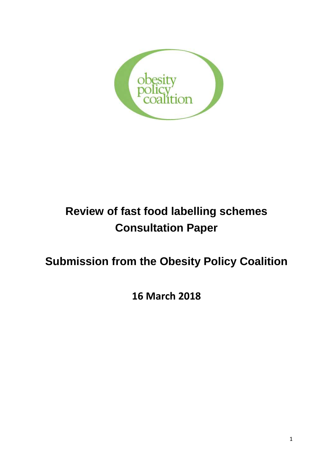

# **Review of fast food labelling schemes Consultation Paper**

# **Submission from the Obesity Policy Coalition**

**16 March 2018**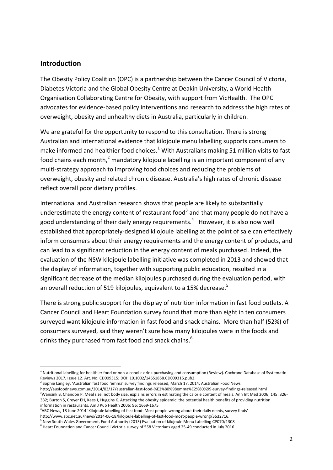### **Introduction**

**.** 

The Obesity Policy Coalition (OPC) is a partnership between the Cancer Council of Victoria, Diabetes Victoria and the Global Obesity Centre at Deakin University, a World Health Organisation Collaborating Centre for Obesity, with support from VicHealth. The OPC advocates for evidence-based policy interventions and research to address the high rates of overweight, obesity and unhealthy diets in Australia, particularly in children.

We are grateful for the opportunity to respond to this consultation. There is strong Australian and international evidence that kilojoule menu labelling supports consumers to make informed and healthier food choices.<sup>1</sup> With Australians making 51 million visits to fast food chains each month,<sup>2</sup> mandatory kilojoule labelling is an important component of any multi-strategy approach to improving food choices and reducing the problems of overweight, obesity and related chronic disease. Australia's high rates of chronic disease reflect overall poor dietary profiles.

International and Australian research shows that people are likely to substantially underestimate the energy content of restaurant food<sup>3</sup> and that many people do not have a good understanding of their daily energy requirements.<sup>4</sup> However, it is also now well established that appropriately-designed kilojoule labelling at the point of sale can effectively inform consumers about their energy requirements and the energy content of products, and can lead to a significant reduction in the energy content of meals purchased. Indeed, the evaluation of the NSW kilojoule labelling initiative was completed in 2013 and showed that the display of information, together with supporting public education, resulted in a significant decrease of the median kilojoules purchased during the evaluation period, with an overall reduction of 519 kilojoules, equivalent to a 15% decrease.<sup>5</sup>

There is strong public support for the display of nutrition information in fast food outlets. A Cancer Council and Heart Foundation survey found that more than eight in ten consumers surveyed want kilojoule information in fast food and snack chains. More than half (52%) of consumers surveyed, said they weren't sure how many kilojoules were in the foods and drinks they purchased from fast food and snack chains.<sup>6</sup>

<sup>2</sup> Sophie Langley, 'Australian fast food 'emma' survey findings released, March 17, 2014, Australian Food News http://ausfoodnews.com.au/2014/03/17/australian-fast-food-%E2%80%98emma%E2%80%99-survey-findings-released.html <sup>3</sup>Wansink B, Chandon P. Meal size, not body size, explains errors in estimating the calorie content of meals. Ann Int Med 2006; 145: 326-332; Burton S, Creyer EH, Kees J, Huggins K. Attacking the obesity epidemic: the potential health benefits of providing nutrition information in restaurants. Am J Pub Health 2006; 96: 1669-1675

<sup>&</sup>lt;sup>1</sup> Nutritional labelling for healthier food or non-alcoholic drink purchasing and consumption (Review). Cochrane Database of Systematic Reviews 2017, Issue 12. Art. No. CD009315; DOI: 10.1002/14651858.CD009315.pub2.

<sup>4</sup> ABC News, 18 June 2014 'Kilojoule labelling of fast food: Most people wrong about their daily needs, survey finds' http://www.abc.net.au/news/2014-06-18/kilojoule-labelling-of-fast-food-most-people-wrong/5532716.

<sup>&</sup>lt;sup>5</sup> New South Wales Government, Food Authority (2013) Evaluation of kilojoule Menu Labelling CP070/1308

<sup>&</sup>lt;sup>6</sup> Heart Foundation and Cancer Council Victoria survey of 558 Victorians aged 25-49 conducted in July 2016.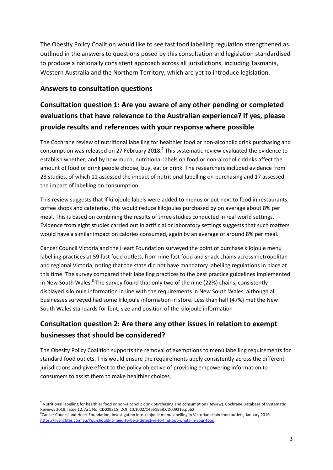The Obesity Policy Coalition would like to see fast food labelling regulation strengthened as outlined in the answers to questions posed by this consultation and legislation standardised to produce a nationally consistent approach across all jurisdictions, including Tasmania, Western Australia and the Northern Territory, which are yet to introduce legislation.

### **Answers to consultation questions**

## **Consultation question 1: Are you aware of any other pending or completed evaluations that have relevance to the Australian experience? If yes, please provide results and references with your response where possible**

The Cochrane review of nutritional labelling for healthier food or non-alcoholic drink purchasing and consumption was released on 27 February 2018.<sup>7</sup> This systematic review evaluated the evidence to establish whether, and by how much, nutritional labels on food or non-alcoholic drinks affect the amount of food or drink people choose, buy, eat or drink. The researchers included evidence from 28 studies, of which 11 assessed the impact of nutritional labelling on purchasing and 17 assessed the impact of labelling on consumption.

This review suggests that if kilojoule labels were added to menus or put next to food in restaurants, coffee shops and cafeterias, this would reduce kilojoules purchased by on average about 8% per meal. This is based on combining the results of three studies conducted in real world settings. Evidence from eight studies carried out in artificial or laboratory settings suggests that such matters would have a similar impact on calories consumed, again by an average of around 8% per meal.

Cancer Council Victoria and the Heart Foundation surveyed the point of purchase kilojoule menu labelling practices at 59 fast food outlets, from nine fast food and snack chains across metropolitan and regional Victoria, noting that the state did not have mandatory labelling regulations in place at this time. The survey compared their labelling practices to the best practice guidelines implemented in New South Wales.<sup>8</sup> The survey found that only two of the nine (22%) chains, consistently displayed kilojoule information in line with the requirements in New South Wales, although all businesses surveyed had some kilojoule information in store. Less than half (47%) met the New South Wales standards for font, size and position of the kilojoule information

### **Consultation question 2: Are there any other issues in relation to exempt businesses that should be considered?**

The Obesity Policy Coalition supports the removal of exemptions to menu labelling requirements for standard food outlets. This would ensure the requirements apply consistently across the different jurisdictions and give effect to the policy objective of providing empowering information to consumers to assist them to make healthier choices.

**<sup>.</sup>** <sup>7</sup> Nutritional labelling for healthier food or non-alcoholic drink purchasing and consumption (Review). Cochrane Database of Systematic Reviews 2018, Issue 12. Art. No. CD009315; DOI: 10.1002/14651858.CD009315.pub2.

<sup>&</sup>lt;sup>8</sup>Cancer Council and Heart Foundation, Investigation into kilojoule menu labelling in Victorian chain food outlets, January 2016, <https://livelighter.com.au/You-shouldnt-need-to-be-a-detective-to-find-out-whats-in-your-food>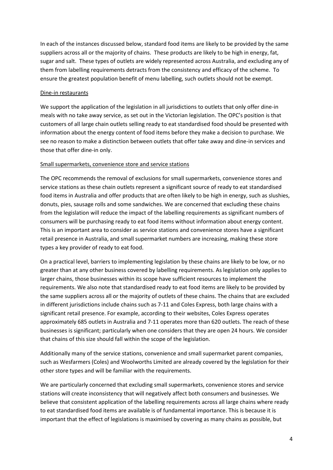In each of the instances discussed below, standard food items are likely to be provided by the same suppliers across all or the majority of chains. These products are likely to be high in energy, fat, sugar and salt. These types of outlets are widely represented across Australia, and excluding any of them from labelling requirements detracts from the consistency and efficacy of the scheme. To ensure the greatest population benefit of menu labelling, such outlets should not be exempt.

#### Dine-in restaurants

We support the application of the legislation in all jurisdictions to outlets that only offer dine-in meals with no take away service, as set out in the Victorian legislation. The OPC's position is that customers of all large chain outlets selling ready to eat standardised food should be presented with information about the energy content of food items before they make a decision to purchase. We see no reason to make a distinction between outlets that offer take away and dine-in services and those that offer dine-in only.

#### Small supermarkets, convenience store and service stations

The OPC recommends the removal of exclusions for small supermarkets, convenience stores and service stations as these chain outlets represent a significant source of ready to eat standardised food items in Australia and offer products that are often likely to be high in energy, such as slushies, donuts, pies, sausage rolls and some sandwiches. We are concerned that excluding these chains from the legislation will reduce the impact of the labelling requirements as significant numbers of consumers will be purchasing ready to eat food items without information about energy content. This is an important area to consider as service stations and convenience stores have a significant retail presence in Australia, and small supermarket numbers are increasing, making these store types a key provider of ready to eat food.

On a practical level, barriers to implementing legislation by these chains are likely to be low, or no greater than at any other business covered by labelling requirements. As legislation only applies to larger chains, those businesses within its scope have sufficient resources to implement the requirements. We also note that standardised ready to eat food items are likely to be provided by the same suppliers across all or the majority of outlets of these chains. The chains that are excluded in different jurisdictions include chains such as 7-11 and Coles Express, both large chains with a significant retail presence. For example, according to their websites, Coles Express operates approximately 685 outlets in Australia and 7-11 operates more than 620 outlets. The reach of these businesses is significant; particularly when one considers that they are open 24 hours. We consider that chains of this size should fall within the scope of the legislation.

Additionally many of the service stations, convenience and small supermarket parent companies, such as Wesfarmers (Coles) and Woolworths Limited are already covered by the legislation for their other store types and will be familiar with the requirements.

We are particularly concerned that excluding small supermarkets, convenience stores and service stations will create inconsistency that will negatively affect both consumers and businesses. We believe that consistent application of the labelling requirements across all large chains where ready to eat standardised food items are available is of fundamental importance. This is because it is important that the effect of legislations is maximised by covering as many chains as possible, but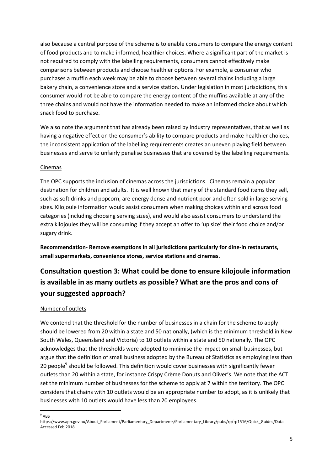also because a central purpose of the scheme is to enable consumers to compare the energy content of food products and to make informed, healthier choices. Where a significant part of the market is not required to comply with the labelling requirements, consumers cannot effectively make comparisons between products and choose healthier options. For example, a consumer who purchases a muffin each week may be able to choose between several chains including a large bakery chain, a convenience store and a service station. Under legislation in most jurisdictions, this consumer would not be able to compare the energy content of the muffins available at any of the three chains and would not have the information needed to make an informed choice about which snack food to purchase.

We also note the argument that has already been raised by industry representatives, that as well as having a negative effect on the consumer's ability to compare products and make healthier choices, the inconsistent application of the labelling requirements creates an uneven playing field between businesses and serve to unfairly penalise businesses that are covered by the labelling requirements.

#### Cinemas

The OPC supports the inclusion of cinemas across the jurisdictions. Cinemas remain a popular destination for children and adults. It is well known that many of the standard food items they sell, such as soft drinks and popcorn, are energy dense and nutrient poor and often sold in large serving sizes. Kilojoule information would assist consumers when making choices within and across food categories (including choosing serving sizes), and would also assist consumers to understand the extra kilojoules they will be consuming if they accept an offer to 'up size' their food choice and/or sugary drink.

**Recommendation- Remove exemptions in all jurisdictions particularly for dine-in restaurants, small supermarkets, convenience stores, service stations and cinemas.**

# **Consultation question 3: What could be done to ensure kilojoule information is available in as many outlets as possible? What are the pros and cons of your suggested approach?**

#### Number of outlets

We contend that the threshold for the number of businesses in a chain for the scheme to apply should be lowered from 20 within a state and 50 nationally, (which is the minimum threshold in New South Wales, Queensland and Victoria) to 10 outlets within a state and 50 nationally. The OPC acknowledges that the thresholds were adopted to minimise the impact on small businesses, but argue that the definition of small business adopted by the Bureau of Statistics as employing less than 20 people<sup>9</sup> should be followed. This definition would cover businesses with significantly fewer outlets than 20 within a state, for instance Crispy Crème Donuts and Oliver's. We note that the ACT set the minimum number of businesses for the scheme to apply at 7 within the territory. The OPC considers that chains with 10 outlets would be an appropriate number to adopt, as it is unlikely that businesses with 10 outlets would have less than 20 employees.

 $\frac{1}{9}$  ABS

https://www.aph.gov.au/About\_Parliament/Parliamentary\_Departments/Parliamentary\_Library/pubs/rp/rp1516/Quick\_Guides/Data Accessed Feb 2018.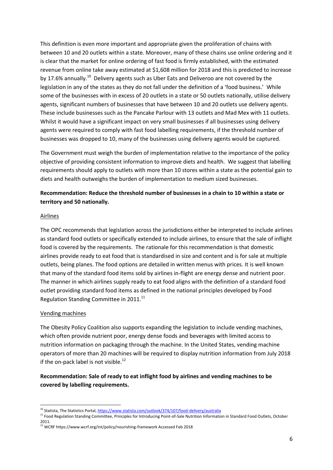This definition is even more important and appropriate given the proliferation of chains with between 10 and 20 outlets within a state. Moreover, many of these chains use online ordering and it is clear that the market for online ordering of fast food is firmly established, with the estimated revenue from online take away estimated at \$1,608 million for 2018 and this is predicted to increase by 17.6% annually.<sup>10</sup> Delivery agents such as Uber Eats and Deliveroo are not covered by the legislation in any of the states as they do not fall under the definition of a 'food business.' While some of the businesses with in excess of 20 outlets in a state or 50 outlets nationally, utilise delivery agents, significant numbers of businesses that have between 10 and 20 outlets use delivery agents. These include businesses such as the Pancake Parlour with 13 outlets and Mad Mex with 11 outlets. Whilst it would have a significant impact on very small businesses if all businesses using delivery agents were required to comply with fast food labelling requirements, if the threshold number of businesses was dropped to 10, many of the businesses using delivery agents would be captured.

The Government must weigh the burden of implementation relative to the importance of the policy objective of providing consistent information to improve diets and health. We suggest that labelling requirements should apply to outlets with more than 10 stores within a state as the potential gain to diets and health outweighs the burden of implementation to medium sized businesses.

### **Recommendation: Reduce the threshold number of businesses in a chain to 10 within a state or territory and 50 nationally.**

#### Airlines

The OPC recommends that legislation across the jurisdictions either be interpreted to include airlines as standard food outlets or specifically extended to include airlines, to ensure that the sale of inflight food is covered by the requirements. The rationale for this recommendation is that domestic airlines provide ready to eat food that is standardised in size and content and is for sale at multiple outlets, being planes. The food options are detailed in written menus with prices. It is well known that many of the standard food items sold by airlines in-flight are energy dense and nutrient poor. The manner in which airlines supply ready to eat food aligns with the definition of a standard food outlet providing standard food items as defined in the national principles developed by Food Regulation Standing Committee in 2011.<sup>11</sup>

#### Vending machines

The Obesity Policy Coalition also supports expanding the legislation to include vending machines, which often provide nutrient poor, energy dense foods and beverages with limited access to nutrition information on packaging through the machine. In the United States, vending machine operators of more than 20 machines will be required to display nutrition information from July 2018 if the on-pack label is not visible.<sup>12</sup>

### **Recommendation: Sale of ready to eat inflight food by airlines and vending machines to be covered by labelling requirements.**

**<sup>.</sup>** <sup>10</sup> Statista, The Statistics Portal,<https://www.statista.com/outlook/374/107/food-delivery/australia>

<sup>&</sup>lt;sup>11</sup> Food Regulation Standing Committee, Principles for Introducing Point-of-Sale Nutrition Information in Standard Food Outlets, October 2011.

<sup>12</sup> WCRF https://www.wcrf.org/int/policy/nourishing-framework Accessed Feb 2018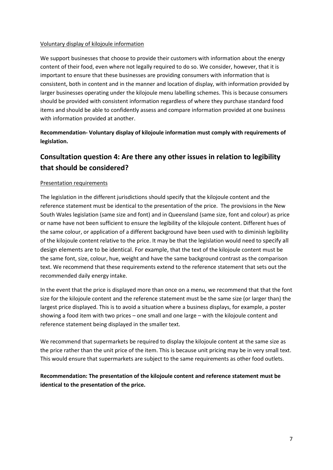#### Voluntary display of kilojoule information

We support businesses that choose to provide their customers with information about the energy content of their food, even where not legally required to do so. We consider, however, that it is important to ensure that these businesses are providing consumers with information that is consistent, both in content and in the manner and location of display, with information provided by larger businesses operating under the kilojoule menu labelling schemes. This is because consumers should be provided with consistent information regardless of where they purchase standard food items and should be able to confidently assess and compare information provided at one business with information provided at another.

**Recommendation- Voluntary display of kilojoule information must comply with requirements of legislation.**

### **Consultation question 4: Are there any other issues in relation to legibility that should be considered?**

#### Presentation requirements

The legislation in the different jurisdictions should specify that the kilojoule content and the reference statement must be identical to the presentation of the price. The provisions in the New South Wales legislation (same size and font) and in Queensland (same size, font and colour) as price or name have not been sufficient to ensure the legibility of the kilojoule content. Different hues of the same colour, or application of a different background have been used with to diminish legibility of the kilojoule content relative to the price. It may be that the legislation would need to specify all design elements are to be identical. For example, that the text of the kilojoule content must be the same font, size, colour, hue, weight and have the same background contrast as the comparison text. We recommend that these requirements extend to the reference statement that sets out the recommended daily energy intake.

In the event that the price is displayed more than once on a menu, we recommend that that the font size for the kilojoule content and the reference statement must be the same size (or larger than) the largest price displayed. This is to avoid a situation where a business displays, for example, a poster showing a food item with two prices – one small and one large – with the kilojoule content and reference statement being displayed in the smaller text.

We recommend that supermarkets be required to display the kilojoule content at the same size as the price rather than the unit price of the item. This is because unit pricing may be in very small text. This would ensure that supermarkets are subject to the same requirements as other food outlets.

### **Recommendation: The presentation of the kilojoule content and reference statement must be identical to the presentation of the price.**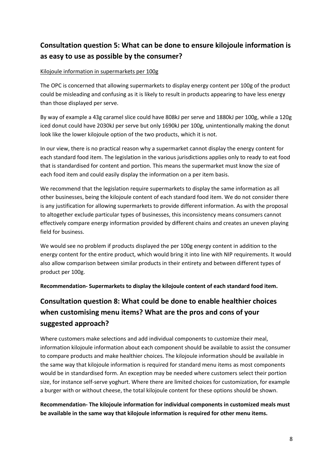## **Consultation question 5: What can be done to ensure kilojoule information is as easy to use as possible by the consumer?**

#### Kilojoule information in supermarkets per 100g

The OPC is concerned that allowing supermarkets to display energy content per 100g of the product could be misleading and confusing as it is likely to result in products appearing to have less energy than those displayed per serve.

By way of example a 43g caramel slice could have 808kJ per serve and 1880kJ per 100g, while a 120g iced donut could have 2030kJ per serve but only 1690kJ per 100g, unintentionally making the donut look like the lower kilojoule option of the two products, which it is not.

In our view, there is no practical reason why a supermarket cannot display the energy content for each standard food item. The legislation in the various jurisdictions applies only to ready to eat food that is standardised for content and portion. This means the supermarket must know the size of each food item and could easily display the information on a per item basis.

We recommend that the legislation require supermarkets to display the same information as all other businesses, being the kilojoule content of each standard food item. We do not consider there is any justification for allowing supermarkets to provide different information. As with the proposal to altogether exclude particular types of businesses, this inconsistency means consumers cannot effectively compare energy information provided by different chains and creates an uneven playing field for business.

We would see no problem if products displayed the per 100g energy content in addition to the energy content for the entire product, which would bring it into line with NIP requirements. It would also allow comparison between similar products in their entirety and between different types of product per 100g.

**Recommendation- Supermarkets to display the kilojoule content of each standard food item.**

# **Consultation question 8: What could be done to enable healthier choices when customising menu items? What are the pros and cons of your suggested approach?**

Where customers make selections and add individual components to customize their meal, information kilojoule information about each component should be available to assist the consumer to compare products and make healthier choices. The kilojoule information should be available in the same way that kilojoule information is required for standard menu items as most components would be in standardised form. An exception may be needed where customers select their portion size, for instance self-serve yoghurt. Where there are limited choices for customization, for example a burger with or without cheese, the total kilojoule content for these options should be shown.

### **Recommendation- The kilojoule information for individual components in customized meals must be available in the same way that kilojoule information is required for other menu items.**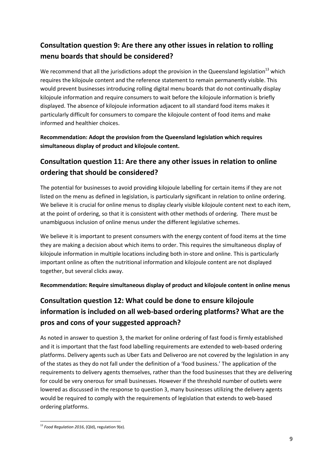## **Consultation question 9: Are there any other issues in relation to rolling menu boards that should be considered?**

We recommend that all the jurisdictions adopt the provision in the Queensland legislation<sup>13</sup> which requires the kilojoule content and the reference statement to remain permanently visible. This would prevent businesses introducing rolling digital menu boards that do not continually display kilojoule information and require consumers to wait before the kilojoule information is briefly displayed. The absence of kilojoule information adjacent to all standard food items makes it particularly difficult for consumers to compare the kilojoule content of food items and make informed and healthier choices.

**Recommendation: Adopt the provision from the Queensland legislation which requires simultaneous display of product and kilojoule content.**

## **Consultation question 11: Are there any other issues in relation to online ordering that should be considered?**

The potential for businesses to avoid providing kilojoule labelling for certain items if they are not listed on the menu as defined in legislation, is particularly significant in relation to online ordering. We believe it is crucial for online menus to display clearly visible kilojoule content next to each item, at the point of ordering, so that it is consistent with other methods of ordering. There must be unambiguous inclusion of online menus under the different legislative schemes.

We believe it is important to present consumers with the energy content of food items at the time they are making a decision about which items to order. This requires the simultaneous display of kilojoule information in multiple locations including both in-store and online. This is particularly important online as often the nutritional information and kilojoule content are not displayed together, but several clicks away.

**Recommendation: Require simultaneous display of product and kilojoule content in online menus**

# **Consultation question 12: What could be done to ensure kilojoule information is included on all web-based ordering platforms? What are the pros and cons of your suggested approach?**

As noted in answer to question 3, the market for online ordering of fast food is firmly established and it is important that the fast food labelling requirements are extended to web-based ordering platforms. Delivery agents such as Uber Eats and Deliveroo are not covered by the legislation in any of the states as they do not fall under the definition of a 'food business.' The application of the requirements to delivery agents themselves, rather than the food businesses that they are delivering for could be very onerous for small businesses. However if the threshold number of outlets were lowered as discussed in the response to question 3, many businesses utilizing the delivery agents would be required to comply with the requirements of legislation that extends to web-based ordering platforms.

 $\overline{a}$ <sup>13</sup> Food Regulation 2016, (Qld), regulation 9(e).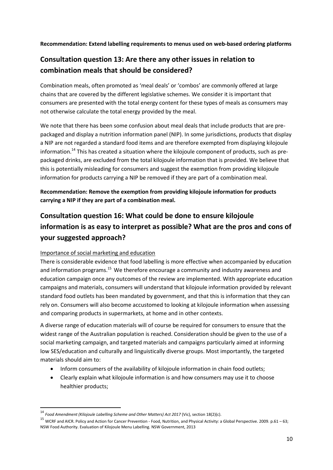**Recommendation: Extend labelling requirements to menus used on web-based ordering platforms**

## **Consultation question 13: Are there any other issues in relation to combination meals that should be considered?**

Combination meals, often promoted as 'meal deals' or 'combos' are commonly offered at large chains that are covered by the different legislative schemes. We consider it is important that consumers are presented with the total energy content for these types of meals as consumers may not otherwise calculate the total energy provided by the meal.

We note that there has been some confusion about meal deals that include products that are prepackaged and display a nutrition information panel (NIP). In some jurisdictions, products that display a NIP are not regarded a standard food items and are therefore exempted from displaying kilojoule information.<sup>14</sup> This has created a situation where the kilojoule component of products, such as prepackaged drinks, are excluded from the total kilojoule information that is provided. We believe that this is potentially misleading for consumers and suggest the exemption from providing kilojoule information for products carrying a NIP be removed if they are part of a combination meal.

**Recommendation: Remove the exemption from providing kilojoule information for products carrying a NIP if they are part of a combination meal.**

# **Consultation question 16: What could be done to ensure kilojoule information is as easy to interpret as possible? What are the pros and cons of your suggested approach?**

#### Importance of social marketing and education

1

There is considerable evidence that food labelling is more effective when accompanied by education and information programs.<sup>15</sup> We therefore encourage a community and industry awareness and education campaign once any outcomes of the review are implemented. With appropriate education campaigns and materials, consumers will understand that kilojoule information provided by relevant standard food outlets has been mandated by government, and that this is information that they can rely on. Consumers will also become accustomed to looking at kilojoule information when assessing and comparing products in supermarkets, at home and in other contexts.

A diverse range of education materials will of course be required for consumers to ensure that the widest range of the Australian population is reached. Consideration should be given to the use of a social marketing campaign, and targeted materials and campaigns particularly aimed at informing low SES/education and culturally and linguistically diverse groups. Most importantly, the targeted materials should aim to:

- Inform consumers of the availability of kilojoule information in chain food outlets;
- Clearly explain what kilojoule information is and how consumers may use it to choose healthier products;

<sup>14</sup> *Food Amendment (Kilojoule Labelling Scheme and Other Matters) Act 2017* (Vic), section 18(2)(c).

<sup>&</sup>lt;sup>15</sup> WCRF and AICR. Policy and Action for Cancer Prevention - Food, Nutrition, and Physical Activity: a Global Perspective. 2009. p.61 – 63; NSW Food Authority. Evaluation of Kilojoule Menu Labelling. NSW Government, 2013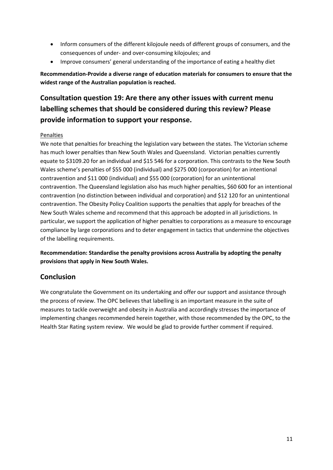- Inform consumers of the different kilojoule needs of different groups of consumers, and the consequences of under- and over-consuming kilojoules; and
- Improve consumers' general understanding of the importance of eating a healthy diet

**Recommendation-Provide a diverse range of education materials for consumers to ensure that the widest range of the Australian population is reached.** 

# **Consultation question 19: Are there any other issues with current menu labelling schemes that should be considered during this review? Please provide information to support your response.**

#### Penalties

We note that penalties for breaching the legislation vary between the states. The Victorian scheme has much lower penalties than New South Wales and Queensland. Victorian penalties currently equate to \$3109.20 for an individual and \$15 546 for a corporation. This contrasts to the New South Wales scheme's penalties of \$55 000 (individual) and \$275 000 (corporation) for an intentional contravention and \$11 000 (individual) and \$55 000 (corporation) for an unintentional contravention. The Queensland legislation also has much higher penalties, \$60 600 for an intentional contravention (no distinction between individual and corporation) and \$12 120 for an unintentional contravention. The Obesity Policy Coalition supports the penalties that apply for breaches of the New South Wales scheme and recommend that this approach be adopted in all jurisdictions. In particular, we support the application of higher penalties to corporations as a measure to encourage compliance by large corporations and to deter engagement in tactics that undermine the objectives of the labelling requirements.

**Recommendation: Standardise the penalty provisions across Australia by adopting the penalty provisions that apply in New South Wales.**

### **Conclusion**

We congratulate the Government on its undertaking and offer our support and assistance through the process of review. The OPC believes that labelling is an important measure in the suite of measures to tackle overweight and obesity in Australia and accordingly stresses the importance of implementing changes recommended herein together, with those recommended by the OPC, to the Health Star Rating system review. We would be glad to provide further comment if required.